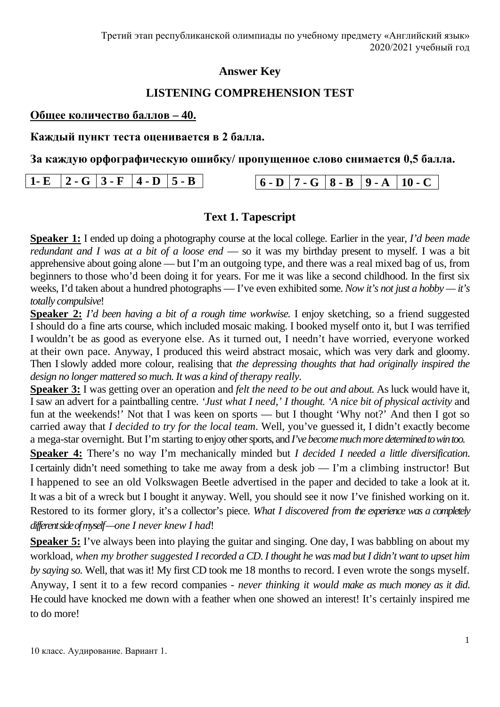## **Answer Key**

## **LISTENING COMPREHENSION TEST**

**Общее количество баллов – 40.**

### **Каждый пункт теста оценивается в 2 балла.**

**За каждую орфографическую ошибку/ пропущенное слово снимается 0,5 балла.**

| $16 - D$   7 - G   8 - B   9 - A |  |  |  | 1- E $ 2 - G $ 3 - F $ 4 - D $ 5 - B |  |  |  |  |  | $\sim$ 10 - C |
|----------------------------------|--|--|--|--------------------------------------|--|--|--|--|--|---------------|
|----------------------------------|--|--|--|--------------------------------------|--|--|--|--|--|---------------|

# **Text 1. Tapescript**

**Speaker 1:** I ended up doing a photography course at the local college. Earlier in the year, *I'd been made redundant and I was at a bit of a loose end* — so it was my birthday present to myself. I was a bit apprehensive about going alone — but I'm an outgoing type, and there was a real mixed bag of us, from beginners to those who'd been doing it for years. For me it was like a second childhood. In the first six weeks, I'd taken about a hundred photographs — I've even exhibited some. *Now it's not just a hobby — it's totally compulsive*!

**Speaker 2:** *I'd been having a bit of a rough time workwise.* I enjoy sketching, so a friend suggested I should do a fine arts course, which included mosaic making. I booked myself onto it, but I was terrified I wouldn't be as good as everyone else. As it turned out, I needn't have worried, everyone worked at their own pace. Anyway, I produced this weird abstract mosaic, which was very dark and gloomy. Then Islowly added more colour, realising that *the depressing thoughts that had originally inspired the design no longer mattered so much. It was a kind of therapy really.*

**Speaker 3:** I was getting over an operation and *felt the need to be out and about.* As luck would have it, Isaw an advert for a paintballing centre. *'Just what I need,' I thought. 'A nice bit of physical activity* and fun at the weekends!' Not that I was keen on sports — but I thought 'Why not?' And then I got so carried away that *I decided to try for the local team*. Well, you've guessed it, I didn't exactly become a mega-star overnight. But I'm starting to enjoy other sports, and *I've become much more determined to win too.*

**Speaker 4:** There's no way I'm mechanically minded but *I decided I needed a little diversification*. I certainly didn't need something to take me away from a desk job — I'm a climbing instructor! But I happened to see an old Volkswagen Beetle advertised in the paper and decided to take a look at it. It was a bit of a wreck but I bought it anyway. Well, you should see it now I've finished working on it. Restored to its former glory, it's a collector's piece. *What I discovered from the experience was a completely different side of myself —one I never knew I had*!

**Speaker 5:** I've always been into playing the guitar and singing. One day, I was babbling on about my workload, *when my brother suggested I recorded a CD*. *I thought he was mad but I didn't want to upset him by saying so.* Well, that was it! My first CD took me 18 months to record. I even wrote the songs myself. Anyway, I sent it to a few record companies - *never thinking it would make as much money as it did*. He could have knocked me down with a feather when one showed an interest! It's certainly inspired me to do more!